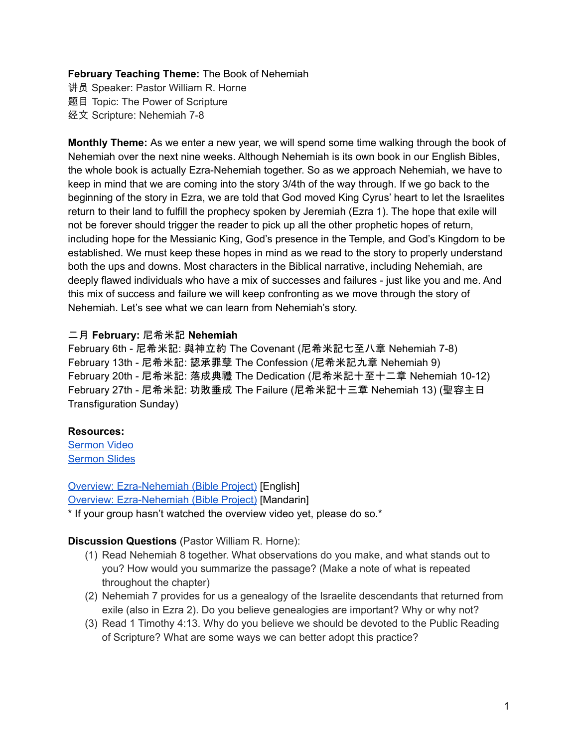#### **February Teaching Theme:** The Book of Nehemiah

讲员 Speaker: Pastor William R. Horne 题目 Topic: The Power of Scripture 经文 Scripture: Nehemiah 7-8

**Monthly Theme:** As we enter a new year, we will spend some time walking through the book of Nehemiah over the next nine weeks. Although Nehemiah is its own book in our English Bibles, the whole book is actually Ezra-Nehemiah together. So as we approach Nehemiah, we have to keep in mind that we are coming into the story 3/4th of the way through. If we go back to the beginning of the story in Ezra, we are told that God moved King Cyrus' heart to let the Israelites return to their land to fulfill the prophecy spoken by Jeremiah (Ezra 1). The hope that exile will not be forever should trigger the reader to pick up all the other prophetic hopes of return, including hope for the Messianic King, God's presence in the Temple, and God's Kingdom to be established. We must keep these hopes in mind as we read to the story to properly understand both the ups and downs. Most characters in the Biblical narrative, including Nehemiah, are deeply flawed individuals who have a mix of successes and failures - just like you and me. And this mix of success and failure we will keep confronting as we move through the story of Nehemiah. Let's see what we can learn from Nehemiah's story.

### 二月 **February:** 尼希米記 **Nehemiah**

February 6th - 尼希米記: 與神立約 The Covenant (尼希米記七至八章 Nehemiah 7-8) February 13th - 尼希米記: 認承罪孽 The Confession (尼希米記九章 Nehemiah 9) February 20th - 尼希米記: 落成典禮 The Dedication (尼希米記十至十二章 Nehemiah 10-12) February 27th - 尼希米記: 功敗垂成 The Failure (尼希米記十三章 Nehemiah 13) (聖容主日 Transfiguration Sunday)

## **Resources:**

[Sermon](https://www.youtube.com/watch?v=GxJa3TeOSfc) Video [Sermon](https://docs.google.com/presentation/d/1L5TOsoW8zqh8I0tph-OCeqOV-tKmFaVjRZyTaB-_fNU/edit?usp=sharing) Slides

Overview: [Ezra-Nehemiah](https://bibleproject.com/explore/video/ezra-nehemiah/) (Bible Project) [English] Overview: [Ezra-Nehemiah](https://www.youtube.com/watch?v=S4pg2h8DOM4&list=PLE-R0uydm0uN0xKD3tw0aheiQojlf1JB1&index=37) (Bible Project) [Mandarin]

\* If your group hasn't watched the overview video yet, please do so.\*

### **Discussion Questions** (Pastor William R. Horne):

- (1) Read Nehemiah 8 together. What observations do you make, and what stands out to you? How would you summarize the passage? (Make a note of what is repeated throughout the chapter)
- (2) Nehemiah 7 provides for us a genealogy of the Israelite descendants that returned from exile (also in Ezra 2). Do you believe genealogies are important? Why or why not?
- (3) Read 1 Timothy 4:13. Why do you believe we should be devoted to the Public Reading of Scripture? What are some ways we can better adopt this practice?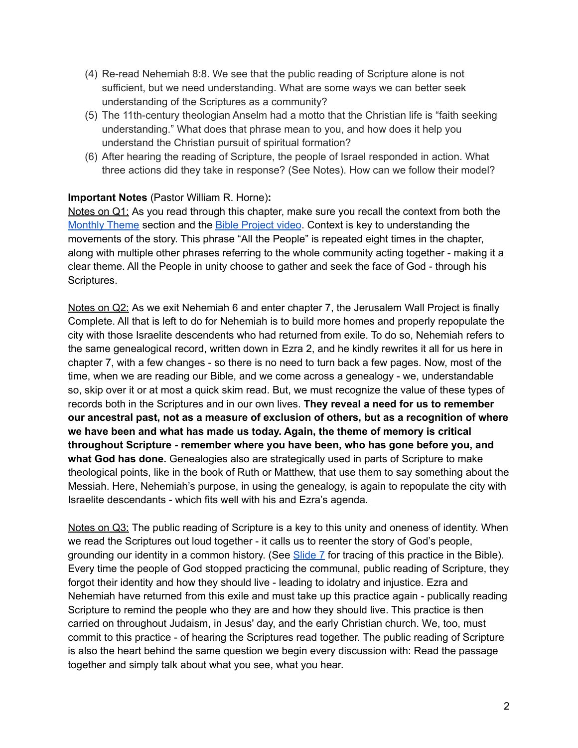- (4) Re-read Nehemiah 8:8. We see that the public reading of Scripture alone is not sufficient, but we need understanding. What are some ways we can better seek understanding of the Scriptures as a community?
- (5) The 11th-century theologian Anselm had a motto that the Christian life is "faith seeking understanding." What does that phrase mean to you, and how does it help you understand the Christian pursuit of spiritual formation?
- (6) After hearing the reading of Scripture, the people of Israel responded in action. What three actions did they take in response? (See Notes). How can we follow their model?

# **Important Notes** (Pastor William R. Horne)**:**

Notes on Q1: As you read through this chapter, make sure you recall the context from both the [Monthly](https://docs.google.com/document/d/1kdIsb1XcIs7gpJh6mmgzNf6Jnqwm4iO9jFQe6U3OtNY/edit#bookmark=id.ldbe2mqdl12r) Theme section and the Bible [Project](https://docs.google.com/document/d/1kdIsb1XcIs7gpJh6mmgzNf6Jnqwm4iO9jFQe6U3OtNY/edit#bookmark=id.d2puhpmovfox) video. Context is key to understanding the movements of the story. This phrase "All the People" is repeated eight times in the chapter, along with multiple other phrases referring to the whole community acting together - making it a clear theme. All the People in unity choose to gather and seek the face of God - through his Scriptures.

Notes on Q2: As we exit Nehemiah 6 and enter chapter 7, the Jerusalem Wall Project is finally Complete. All that is left to do for Nehemiah is to build more homes and properly repopulate the city with those Israelite descendents who had returned from exile. To do so, Nehemiah refers to the same genealogical record, written down in Ezra 2, and he kindly rewrites it all for us here in chapter 7, with a few changes - so there is no need to turn back a few pages. Now, most of the time, when we are reading our Bible, and we come across a genealogy - we, understandable so, skip over it or at most a quick skim read. But, we must recognize the value of these types of records both in the Scriptures and in our own lives. **They reveal a need for us to remember our ancestral past, not as a measure of exclusion of others, but as a recognition of where we have been and what has made us today. Again, the theme of memory is critical throughout Scripture - remember where you have been, who has gone before you, and what God has done.** Genealogies also are strategically used in parts of Scripture to make theological points, like in the book of Ruth or Matthew, that use them to say something about the Messiah. Here, Nehemiah's purpose, in using the genealogy, is again to repopulate the city with Israelite descendants - which fits well with his and Ezra's agenda.

Notes on Q3: The public reading of Scripture is a key to this unity and oneness of identity. When we read the Scriptures out loud together - it calls us to reenter the story of God's people, grounding our identity in a common history. (See [Slide](https://docs.google.com/presentation/d/1L5TOsoW8zqh8I0tph-OCeqOV-tKmFaVjRZyTaB-_fNU/edit?usp=sharing) 7 for tracing of this practice in the Bible). Every time the people of God stopped practicing the communal, public reading of Scripture, they forgot their identity and how they should live - leading to idolatry and injustice. Ezra and Nehemiah have returned from this exile and must take up this practice again - publically reading Scripture to remind the people who they are and how they should live. This practice is then carried on throughout Judaism, in Jesus' day, and the early Christian church. We, too, must commit to this practice - of hearing the Scriptures read together. The public reading of Scripture is also the heart behind the same question we begin every discussion with: Read the passage together and simply talk about what you see, what you hear.